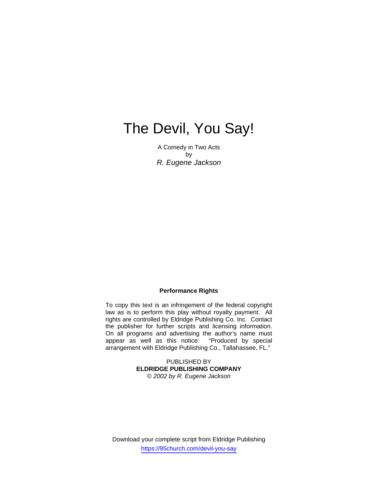# The Devil, You Say!

A Comedy in Two Acts by *R. Eugene Jackson*

#### **Performance Rights**

To copy this text is an infringement of the federal copyright law as is to perform this play without royalty payment. All rights are controlled by Eldridge Publishing Co. Inc. Contact the publisher for further scripts and licensing information. On all programs and advertising the author's name must appear as well as this notice: "Produced by special arrangement with Eldridge Publishing Co., Tallahassee, FL."

> PUBLISHED BY **ELDRIDGE PUBLISHING COMPANY**  *© 2002 by R. Eugene Jackson*

Download your complete script from Eldridge Publishing https://95church.com/devil-you-say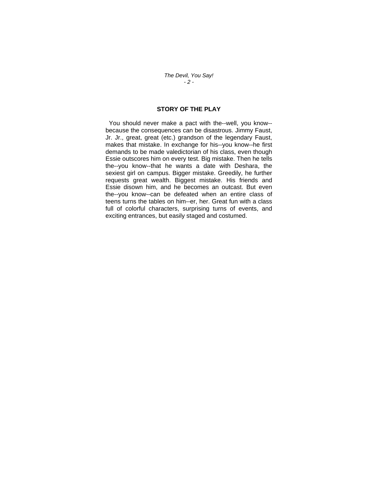*The Devil, You Say! - 2 -* 

# **STORY OF THE PLAY**

 You should never make a pact with the--well, you know- because the consequences can be disastrous. Jimmy Faust, Jr. Jr., great, great (etc.) grandson of the legendary Faust, makes that mistake. In exchange for his--you know--he first demands to be made valedictorian of his class, even though Essie outscores him on every test. Big mistake. Then he tells the--you know--that he wants a date with Deshara, the sexiest girl on campus. Bigger mistake. Greedily, he further requests great wealth. Biggest mistake. His friends and Essie disown him, and he becomes an outcast. But even the--you know--can be defeated when an entire class of teens turns the tables on him--er, her. Great fun with a class full of colorful characters, surprising turns of events, and exciting entrances, but easily staged and costumed.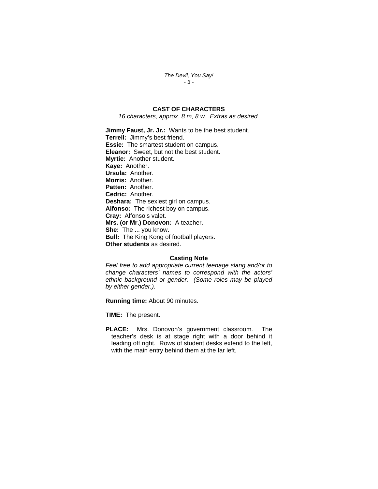*The Devil, You Say! - 3 -* 

# **CAST OF CHARACTERS**

*16 characters, approx. 8 m, 8 w. Extras as desired.* 

**Jimmy Faust, Jr. Jr.:** Wants to be the best student. **Terrell:** Jimmy's best friend. **Essie:** The smartest student on campus. **Eleanor:** Sweet, but not the best student. **Myrtie:** Another student. **Kaye:** Another. **Ursula:** Another. **Morris:** Another. **Patten:** Another. **Cedric:** Another. **Deshara:** The sexiest girl on campus. **Alfonso:** The richest boy on campus. **Cray:** Alfonso's valet. **Mrs. (or Mr.) Donovon:** A teacher. **She:** The ... you know. **Bull:** The King Kong of football players. **Other students** as desired.

### **Casting Note**

*Feel free to add appropriate current teenage slang and/or to change characters' names to correspond with the actors' ethnic background or gender. (Some roles may be played by either gender.).* 

**Running time:** About 90 minutes.

**TIME:** The present.

**PLACE:** Mrs. Donovon's government classroom. The teacher's desk is at stage right with a door behind it leading off right. Rows of student desks extend to the left, with the main entry behind them at the far left.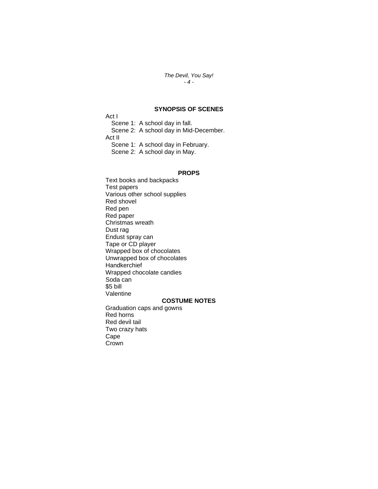#### *The Devil, You Say! - 4 -*

## **SYNOPSIS OF SCENES**

Act I Scene 1: A school day in fall. Scene 2: A school day in Mid-December. Act II Scene 1: A school day in February. Scene 2: A school day in May.

#### **PROPS**

Text books and backpacks Test papers Various other school supplies Red shovel Red pen Red paper Christmas wreath Dust rag Endust spray can Tape or CD player Wrapped box of chocolates Unwrapped box of chocolates **Handkerchief** Wrapped chocolate candies Soda can \$5 bill Valentine **COSTUME NOTES**

Graduation caps and gowns Red horns Red devil tail Two crazy hats Cape **Crown**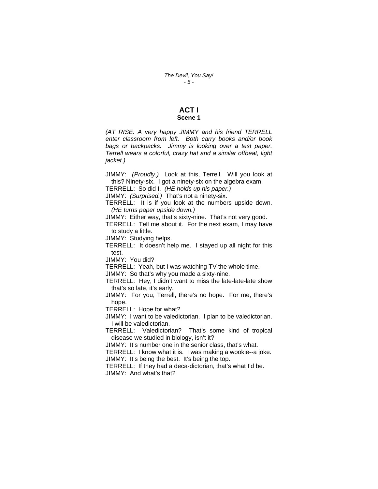#### **ACT I Scene 1**

*(AT RISE: A very happy JIMMY and his friend TERRELL enter classroom from left. Both carry books and/or book bags or backpacks. Jimmy is looking over a test paper. Terrell wears a colorful, crazy hat and a similar offbeat, light jacket.)* 

JIMMY: *(Proudly.)* Look at this, Terrell. Will you look at this? Ninety-six. I got a ninety-six on the algebra exam.

TERRELL: So did I. *(HE holds up his paper.)* 

JIMMY: *(Surprised.)* That's not a ninety-six.

TERRELL: It is if you look at the numbers upside down. *(HE turns paper upside down.)* 

JIMMY: Either way, that's sixty-nine. That's not very good.

TERRELL: Tell me about it. For the next exam, I may have to study a little.

JIMMY: Studying helps.

TERRELL: It doesn't help me. I stayed up all night for this test.

JIMMY: You did?

TERRELL: Yeah, but I was watching TV the whole time.

JIMMY: So that's why you made a sixty-nine.

TERRELL: Hey, I didn't want to miss the late-late-late show that's so late, it's early.

JIMMY: For you, Terrell, there's no hope. For me, there's hope.

TERRELL: Hope for what?

JIMMY: I want to be valedictorian. I plan to be valedictorian. I will be valedictorian.

TERRELL: Valedictorian? That's some kind of tropical disease we studied in biology, isn't it?

JIMMY: It's number one in the senior class, that's what.

TERRELL: I know what it is. I was making a wookie--a joke. JIMMY: It's being the best. It's being the top.

TERRELL: If they had a deca-dictorian, that's what I'd be. JIMMY: And what's that?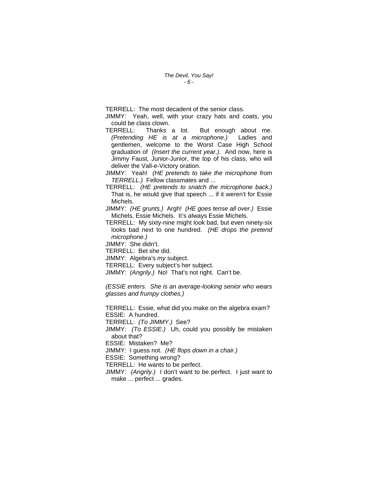TERRELL: The most decadent of the senior class.

JIMMY: Yeah, well, with your crazy hats and coats, you could be class clown.

- TERRELL: Thanks a lot. But enough about me. *(Pretending HE is at a microphone.)* Ladies and gentlemen, welcome to the Worst Case High School graduation of *(Insert the current year.).* And now, here is Jimmy Faust, Junior-Junior, the top of his class, who will deliver the Vall-e-Victory oration.
- JIMMY: Yeah! *(HE pretends to take the microphone from TERRELL.)* Fellow classmates and ...
- TERRELL: *(HE pretends to snatch the microphone back.)* That is, he would give that speech ... if it weren't for Essie Michels.
- JIMMY: *(HE grunts.)* Argh! *(HE goes tense all over.)* Essie Michels, Essie Michels. It's always Essie Michels.
- TERRELL: My sixty-nine might look bad, but even ninety-six looks bad next to one hundred. *(HE drops the pretend microphone.)*

JIMMY: She didn't.

TERRELL: Bet she did.

JIMMY: Algebra's *my* subject.

TERRELL: Every subject's her subject.

JIMMY: *(Angrily.)* No! That's not right. Can't be.

*(ESSIE enters. She is an average-looking senior who wears glasses and frumpy clothes.)* 

TERRELL: Essie, what did you make on the algebra exam? ESSIE: A hundred.

TERRELL: *(To JIMMY.)* See?

JIMMY: *(To ESSIE.)* Uh, could you possibly be mistaken about that?

ESSIE: Mistaken? Me?

JIMMY: I guess not. *(HE flops down in a chair.)* 

ESSIE: Something wrong?

TERRELL: He wants to be perfect.

JIMMY: *(Angrily.)* I don't want to be perfect. I just want to make ... perfect ... grades.